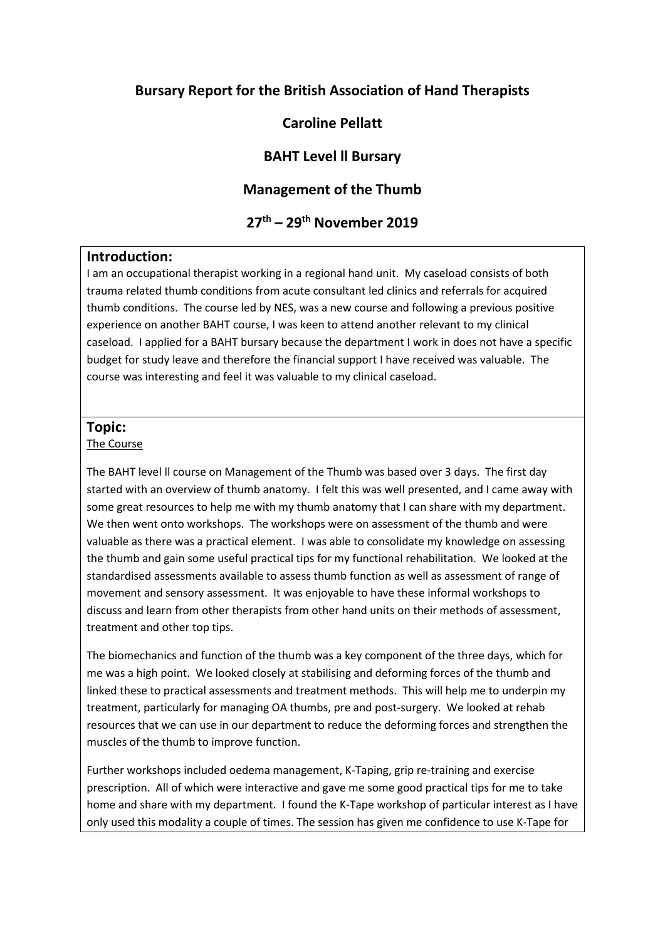## **Bursary Report for the British Association of Hand Therapists**

# **Caroline Pellatt**

### **BAHT Level ll Bursary**

### **Management of the Thumb**

# **27th – 29th November 2019**

#### **Introduction:**

I am an occupational therapist working in a regional hand unit. My caseload consists of both trauma related thumb conditions from acute consultant led clinics and referrals for acquired thumb conditions. The course led by NES, was a new course and following a previous positive experience on another BAHT course, I was keen to attend another relevant to my clinical caseload. I applied for a BAHT bursary because the department I work in does not have a specific budget for study leave and therefore the financial support I have received was valuable. The course was interesting and feel it was valuable to my clinical caseload.

#### **Topic:**

#### The Course

The BAHT level ll course on Management of the Thumb was based over 3 days. The first day started with an overview of thumb anatomy. I felt this was well presented, and I came away with some great resources to help me with my thumb anatomy that I can share with my department. We then went onto workshops. The workshops were on assessment of the thumb and were valuable as there was a practical element. I was able to consolidate my knowledge on assessing the thumb and gain some useful practical tips for my functional rehabilitation. We looked at the standardised assessments available to assess thumb function as well as assessment of range of movement and sensory assessment. It was enjoyable to have these informal workshops to discuss and learn from other therapists from other hand units on their methods of assessment, treatment and other top tips.

The biomechanics and function of the thumb was a key component of the three days, which for me was a high point. We looked closely at stabilising and deforming forces of the thumb and linked these to practical assessments and treatment methods. This will help me to underpin my treatment, particularly for managing OA thumbs, pre and post-surgery. We looked at rehab resources that we can use in our department to reduce the deforming forces and strengthen the muscles of the thumb to improve function.

Further workshops included oedema management, K-Taping, grip re-training and exercise prescription. All of which were interactive and gave me some good practical tips for me to take home and share with my department. I found the K-Tape workshop of particular interest as I have only used this modality a couple of times. The session has given me confidence to use K-Tape for